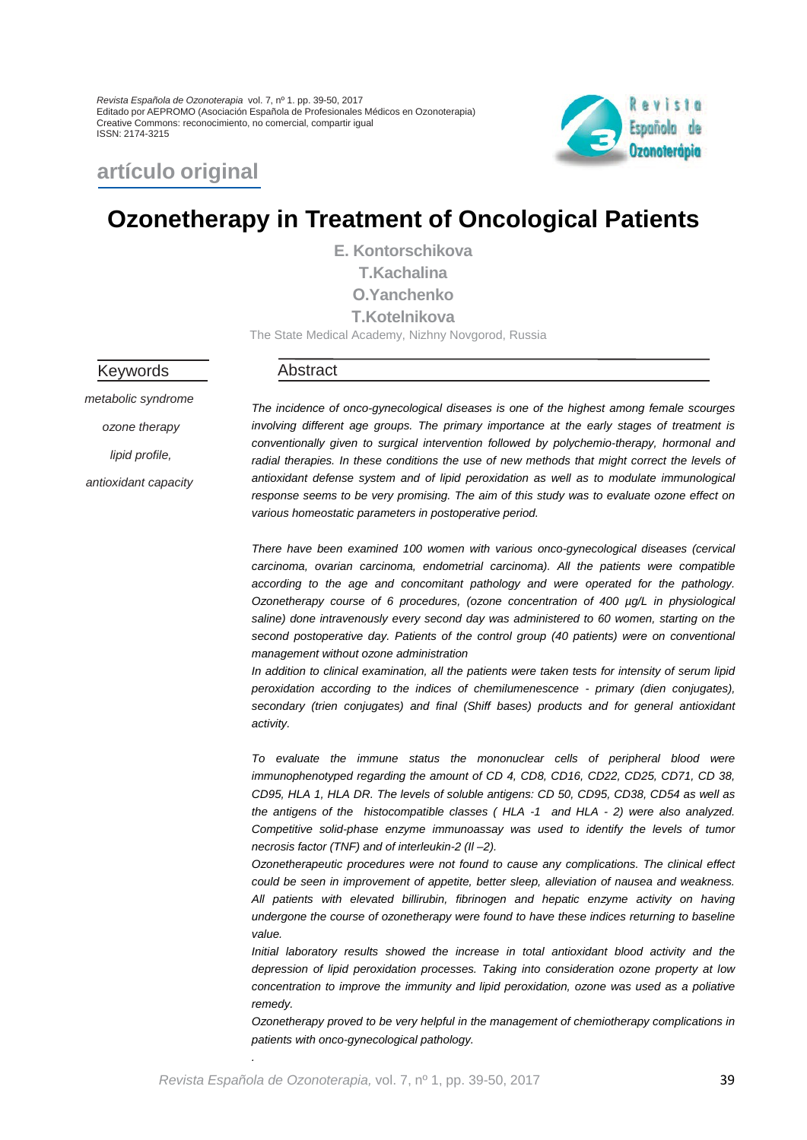*Revista Española de Ozonoterapia* vol. 7, nº 1. pp. 39-50, 2017 Editado por AEPROMO (Asociación Española de Profesionales Médicos en Ozonoterapia) Creative Commons: reconocimiento, no comercial, compartir igual ISSN: 2174-3215



# **artículo original**

# **Ozonetherapy in Treatment of Oncological Patients**

**E. Kontorschikova T.Kachalina О.Yanchenko Т.Kotelnikova** The State Medical Academy, Nizhny Novgorod, Russia

Keywords

#### Abstract

*metabolic syndrome ozone therapy lipid profile, antioxidant capacity*

*The incidence of onco-gynecological diseases is one of the highest among female scourges involving different age groups. The primary importance at the early stages of treatment is conventionally given to surgical intervention followed by polychemio-therapy, hormonal and radial therapies. In these conditions the use of new methods that might correct the levels of antioxidant defense system and of lipid peroxidation as well as to modulate immunological response seems to be very promising. The aim of this study was to evaluate ozone effect on various homeostatic parameters in postoperative period.*

*There have been examined 100 women with various onco-gynecological diseases (cervical carcinoma, ovarian carcinoma, endometrial carcinoma). All the patients were compatible according to the age and concomitant pathology and were operated for the pathology. Ozonetherapy course of 6 procedures, (ozone concentration of 400 µg/L in physiological saline) done intravenously every second day was administered to 60 women, starting on the*  second postoperative day. Patients of the control group (40 patients) were on conventional *management without ozone administration*

*In addition to clinical examination, all the patients were taken tests for intensity of serum lipid peroxidation according to the indices of chemilumenescence - primary (dien conjugates), secondary (trien conjugates) and final (Shiff bases) products and for general antioxidant activity.*

*To evaluate the immune status the mononuclear cells of peripheral blood were immunophenotyped regarding the amount of CD 4, CD8, CD16, CD22, CD25, CD71, CD 38, CD95, HLA 1, HLA DR. The levels of soluble antigens: CD 50, CD95, CD38, CD54 as well as the antigens of the histocompatible classes ( HLA -1 and HLA - 2) were also analyzed. Competitive solid-phase enzyme immunoassay was used to identify the levels of tumor necrosis factor (TNF) and of interleukin-2 (Il –2).*

*Ozonetherapeutic procedures were not found to cause any complications. The clinical effect could be seen in improvement of appetite, better sleep, alleviation of nausea and weakness. All patients with elevated billirubin, fibrinogen and hepatic enzyme activity on having undergone the course of ozonetherapy were found to have these indices returning to baseline value.* 

*Initial laboratory results showed the increase in total antioxidant blood activity and the depression of lipid peroxidation processes. Taking into consideration ozone property at low concentration to improve the immunity and lipid peroxidation, ozone was used as a poliative remedy.* 

*Ozonetherapy proved to be very helpful in the management of chemiotherapy complications in patients with onco-gynecological pathology.*

*.*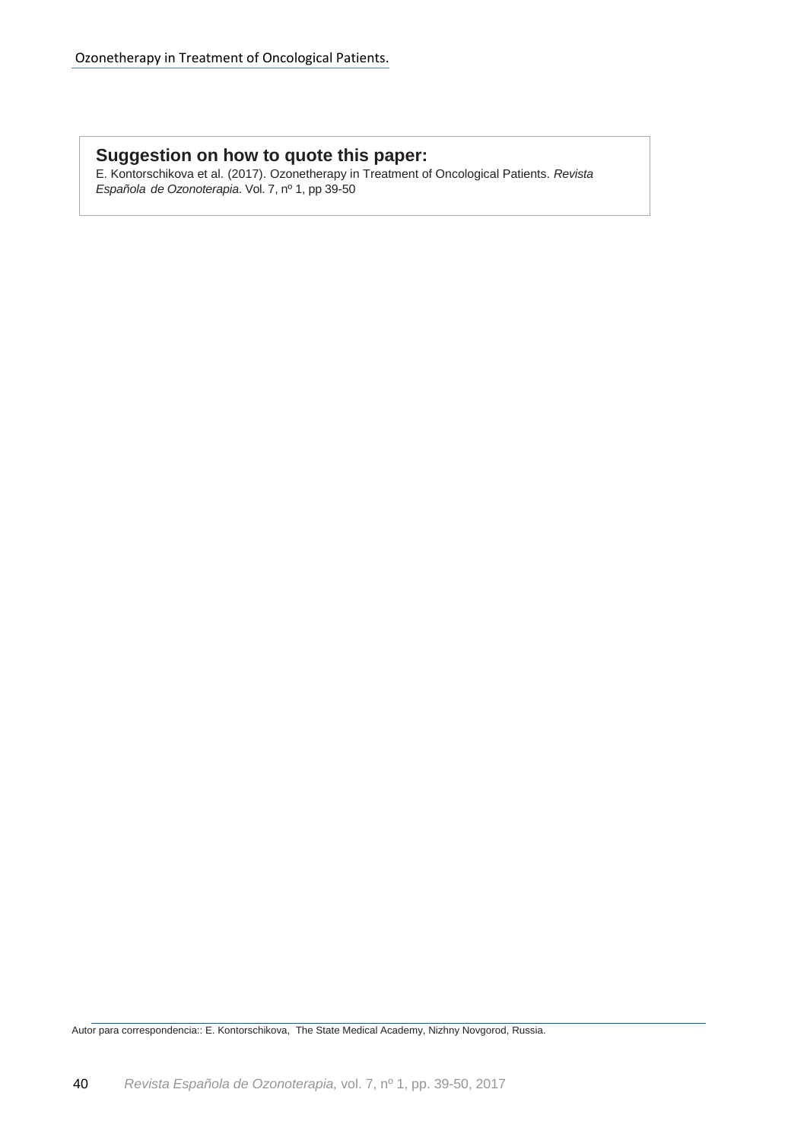## **Suggestion on how to quote this paper:**

E. Kontorschikova et al. (2017). Ozonetherapy in Treatment of Oncological Patients. *Revista Española de Ozonoterapia*. Vol. 7, nº 1, pp 39-50

Autor para correspondencia:: E. Kontorschikova, The State Medical Academy, Nizhny Novgorod, Russia.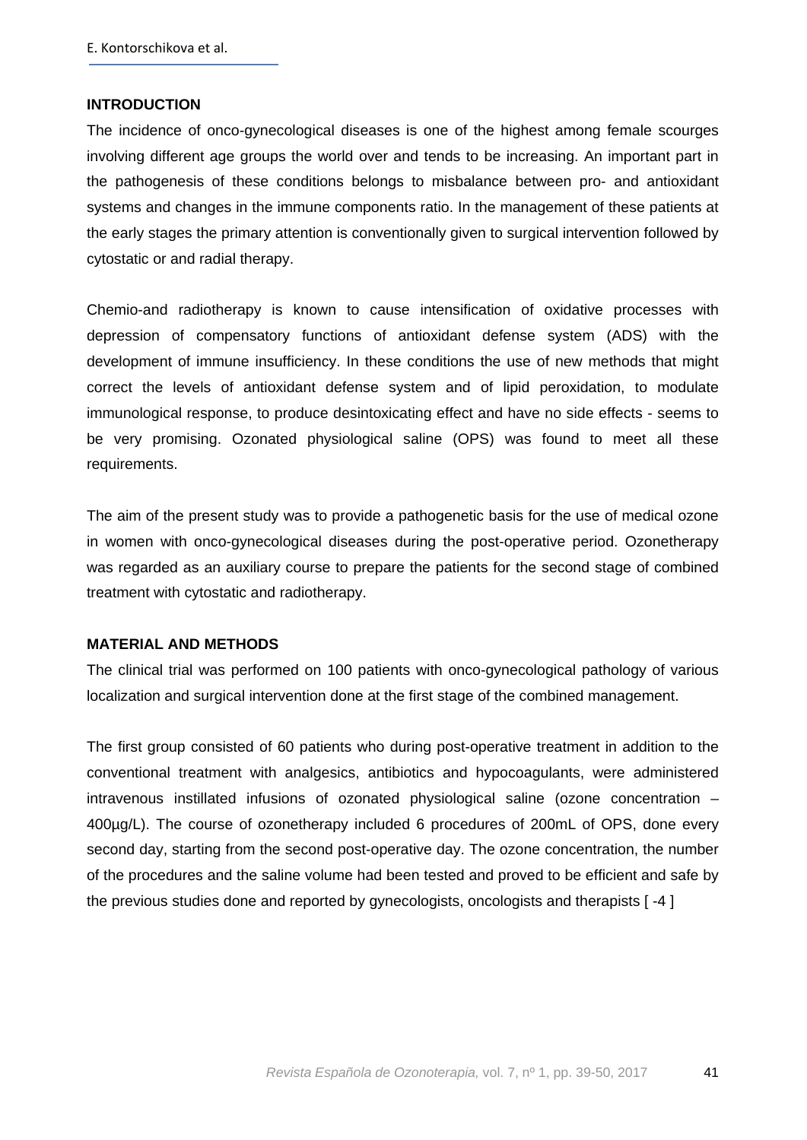#### **INTRODUCTION**

The incidence of onco-gynecological diseases is one of the highest among female scourges involving different age groups the world over and tends to be increasing. An important part in the pathogenesis of these conditions belongs to misbalance between pro- and antioxidant systems and changes in the immune components ratio. In the management of these patients at the early stages the primary attention is conventionally given to surgical intervention followed by cytostatic or and radial therapy.

Chemio-and radiotherapy is known to cause intensification of oxidative processes with depression of compensatory functions of antioxidant defense system (ADS) with the development of immune insufficiency. In these conditions the use of new methods that might correct the levels of antioxidant defense system and of lipid peroxidation, to modulate immunological response, to produce desintoxicating effect and have no side effects - seems to be very promising. Ozonated physiological saline (OPS) was found to meet all these requirements.

The aim of the present study was to provide a pathogenetic basis for the use of medical ozone in women with onco-gynecological diseases during the post-operative period. Ozonetherapy was regarded as an auxiliary course to prepare the patients for the second stage of combined treatment with cytostatic and radiotherapy.

#### **MATERIAL AND METHODS**

The clinical trial was performed on 100 patients with onco-gynecological pathology of various localization and surgical intervention done at the first stage of the combined management.

The first group consisted of 60 patients who during post-operative treatment in addition to the conventional treatment with analgesics, antibiotics and hypocoagulants, were administered intravenous instillated infusions of ozonated physiological saline (ozone concentration – 400µg/L). The course of ozonetherapy included 6 procedures of 200mL of OPS, done every second day, starting from the second post-operative day. The ozone concentration, the number of the procedures and the saline volume had been tested and proved to be efficient and safe by the previous studies done and reported by gynecologists, oncologists and therapists [ -4 ]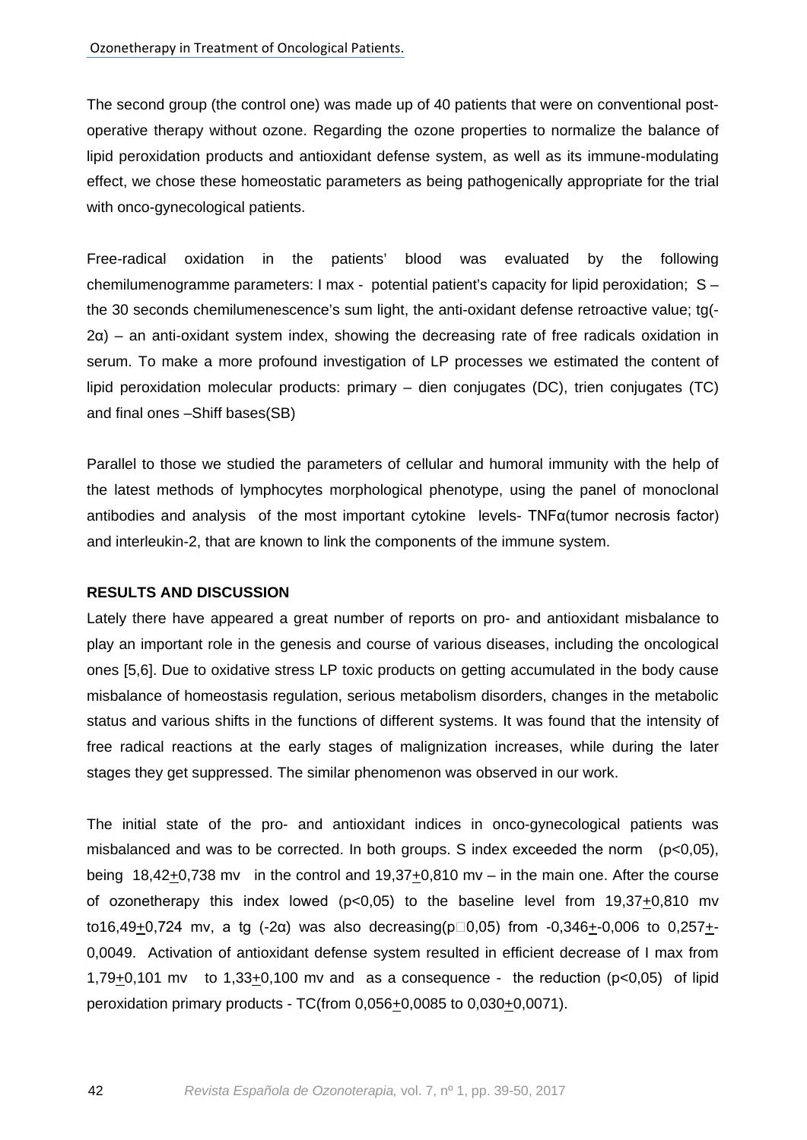The second group (the control one) was made up of 40 patients that were on conventional postoperative therapy without ozone. Regarding the ozone properties to normalize the balance of lipid peroxidation products and antioxidant defense system, as well as its immune-modulating effect, we chose these homeostatic parameters as being pathogenically appropriate for the trial with onco-gynecological patients.

Free-radical oxidation in the patients' blood was evaluated by the following chemilumenogramme parameters: I max - potential patient's capacity for lipid peroxidation; S – the 30 seconds chemilumenescence's sum light, the anti-oxidant defense retroactive value; tg(- 2α) – an anti-oxidant system index, showing the decreasing rate of free radicals oxidation in serum. To make a more profound investigation of LP processes we estimated the content of lipid peroxidation molecular products: primary – dien conjugates (DC), trien conjugates (TC) and final ones –Shiff bases(SB)

Parallel to those we studied the parameters of cellular and humoral immunity with the help of the latest methods of lymphocytes morphological phenotype, using the panel of monoclonal antibodies and analysis of the most important cytokine levels- TNFα(tumor necrosis factor) and interleukin-2, that are known to link the components of the immune system.

#### **RESULTS AND DISCUSSION**

Lately there have appeared a great number of reports on pro- and antioxidant misbalance to play an important role in the genesis and course of various diseases, including the oncological ones [5,6]. Due to oxidative stress LP toxic products on getting accumulated in the body cause misbalance of homeostasis regulation, serious metabolism disorders, changes in the metabolic status and various shifts in the functions of different systems. It was found that the intensity of free radical reactions at the early stages of malignization increases, while during the later stages they get suppressed. The similar phenomenon was observed in our work.

The initial state of the pro- and antioxidant indices in onco-gynecological patients was misbalanced and was to be corrected. In both groups. S index exceeded the norm (p<0,05), being 18,42+0,738 mv in the control and 19,37+0,810 mv – in the main one. After the course of ozonetherapy this index lowed ( $p<0,05$ ) to the baseline level from  $19,37+0,810$  mv to16,49+0,724 mv, a tg (-2α) was also decreasing( $p\Box 0.05$ ) from -0,346+-0,006 to 0,257+-0,0049. Activation of antioxidant defense system resulted in efficient decrease of I max from 1,79 $\pm$ 0,101 mv to 1,33 $\pm$ 0,100 mv and as a consequence - the reduction (p<0,05) of lipid peroxidation primary products - TC(from  $0,056+0,0085$  to  $0,030+0,0071$ ).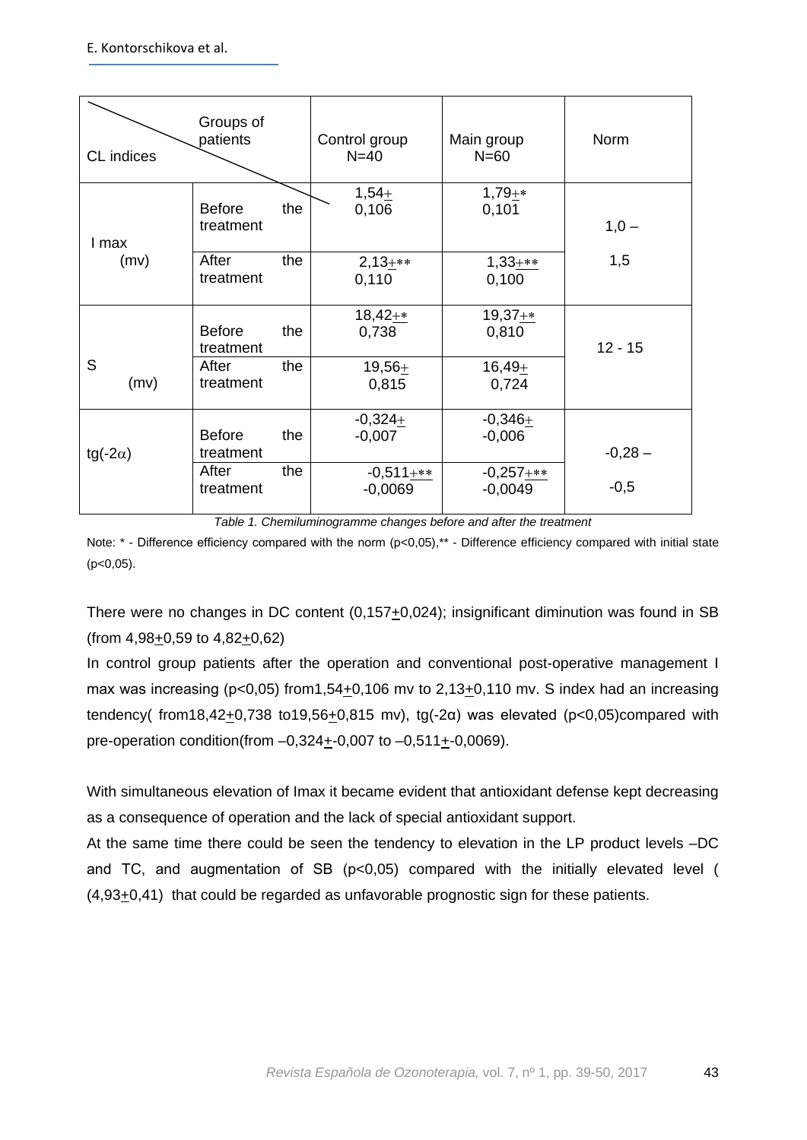| CL indices       | Groups of<br>patients             | Control group<br>$N=40$  | Main group<br>$N=60$     | Norm      |
|------------------|-----------------------------------|--------------------------|--------------------------|-----------|
| I max            | <b>Before</b><br>the<br>treatment | $1,54+$<br>0,106         | $1,79+*$<br>0,101        | $1,0 -$   |
| (mv)             | the<br>After<br>treatment         | $2,13+**$<br>0,110       | $1,33$ +**<br>0,100      | 1,5       |
|                  | <b>Before</b><br>the<br>treatment | $18,42+*$<br>0,738       | $19,37+*$<br>0,810       | $12 - 15$ |
| S<br>(mv)        | the<br>After<br>treatment         | $19,56+$<br>0,815        | $16,49+$<br>0,724        |           |
| tg(-2 $\alpha$ ) | <b>Before</b><br>the<br>treatment | $-0,324+$<br>$-0,007$    | $-0,346+$<br>$-0,006$    | $-0,28-$  |
|                  | After<br>the<br>treatment         | $-0,511+**$<br>$-0,0069$ | $-0,257+**$<br>$-0,0049$ | $-0,5$    |

*Table 1. Chemiluminogramme changes before and after the treatment*

Note: \* - Difference efficiency compared with the norm (p<0,05),\*\* - Difference efficiency compared with initial state  $(p<0,05)$ .

There were no changes in DC content (0,157+0,024); insignificant diminution was found in SB (from 4,98+0,59 to 4,82+0,62)

In control group patients after the operation and conventional post-operative management I max was increasing ( $p<0.05$ ) from 1,54+0,106 mv to 2,13+0,110 mv. S index had an increasing tendency( from18,42+0,738 to19,56+0,815 mv), tg(-2 $\alpha$ ) was elevated (p<0,05)compared with pre-operation condition(from  $-0,324+0,007$  to  $-0,511+0,0069$ ).

With simultaneous elevation of Imax it became evident that antioxidant defense kept decreasing as a consequence of operation and the lack of special antioxidant support.

At the same time there could be seen the tendency to elevation in the LP product levels –DC and TC, and augmentation of SB ( $p<0.05$ ) compared with the initially elevated level (  $(4,93+0,41)$  that could be regarded as unfavorable prognostic sign for these patients.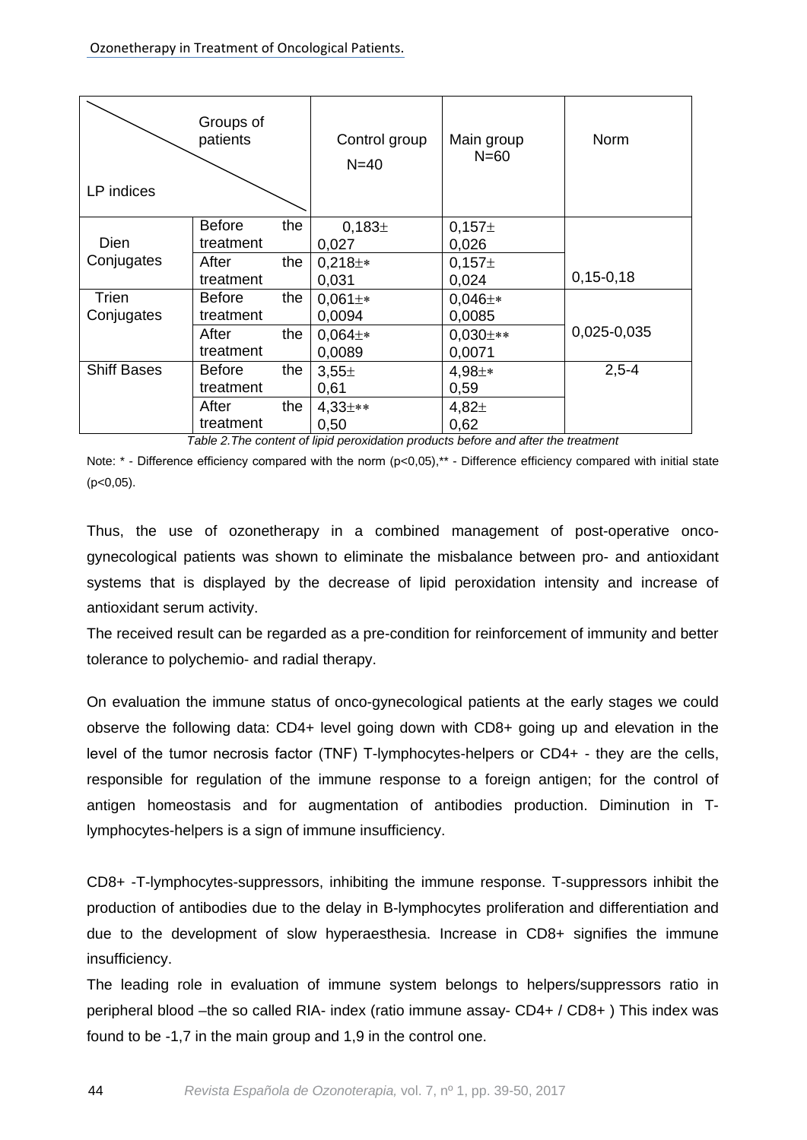| LP indices         | Groups of<br>patients             | Control group<br>$N=40$     | Main group<br>$N=60$ | Norm            |
|--------------------|-----------------------------------|-----------------------------|----------------------|-----------------|
| <b>Dien</b>        | <b>Before</b><br>the<br>treatment | 0,183 <sup>±</sup><br>0,027 | $0,157\pm$<br>0,026  |                 |
| Conjugates         | After<br>the                      | $0,218 \pm *$               | $0,157\pm$           |                 |
|                    | treatment                         | 0,031                       | 0,024                | $0, 15 - 0, 18$ |
| Trien              | the<br><b>Before</b>              | $0,061 \pm *$               | $0,046 \pm *$        |                 |
| Conjugates         | treatment                         | 0,0094                      | 0,0085               |                 |
|                    | After<br>the                      | $0,064 \pm *$               | $0,030 \pm **$       | 0,025-0,035     |
|                    | treatment                         | 0,0089                      | 0,0071               |                 |
| <b>Shiff Bases</b> | the<br><b>Before</b>              | $3,55 \pm$                  | $4,98 \pm *$         | $2,5 - 4$       |
|                    | treatment                         | 0,61                        | 0,59                 |                 |
|                    | After<br>the                      | $4,33+**$                   | 4,82 <sub>±</sub>    |                 |
|                    | treatment                         | 0,50                        | 0,62                 |                 |

*Table 2.The content of lipid peroxidation products before and after the treatment*

Note: \* - Difference efficiency compared with the norm (p<0,05),\*\* - Difference efficiency compared with initial state  $(p<0.05)$ .

Thus, the use of ozonetherapy in a combined management of post-operative oncogynecological patients was shown to eliminate the misbalance between pro- and antioxidant systems that is displayed by the decrease of lipid peroxidation intensity and increase of antioxidant serum activity.

The received result can be regarded as a pre-condition for reinforcement of immunity and better tolerance to polychemio- and radial therapy.

On evaluation the immune status of onco-gynecological patients at the early stages we could observe the following data: CD4+ level going down with CD8+ going up and elevation in the level of the tumor necrosis factor (TNF) Т-lymphocytes-helpers or CD4+ - they are the cells, responsible for regulation of the immune response to a foreign antigen; for the control of antigen homeostasis and for augmentation of antibodies production. Diminution in Tlymphocytes-helpers is a sign of immune insufficiency.

CD8+ -T-lymphocytes-suppressors, inhibiting the immune response. T-suppressors inhibit the production of antibodies due to the delay in B-lymphocytes proliferation and differentiation and due to the development of slow hyperaesthesia. Increase in CD8+ signifies the immune insufficiency.

The leading role in evaluation of immune system belongs to helpers/suppressors ratio in peripheral blood –the so called RIA- index (ratio immune assay- CD4+ / CD8+ ) This index was found to be -1,7 in the main group and 1,9 in the control one.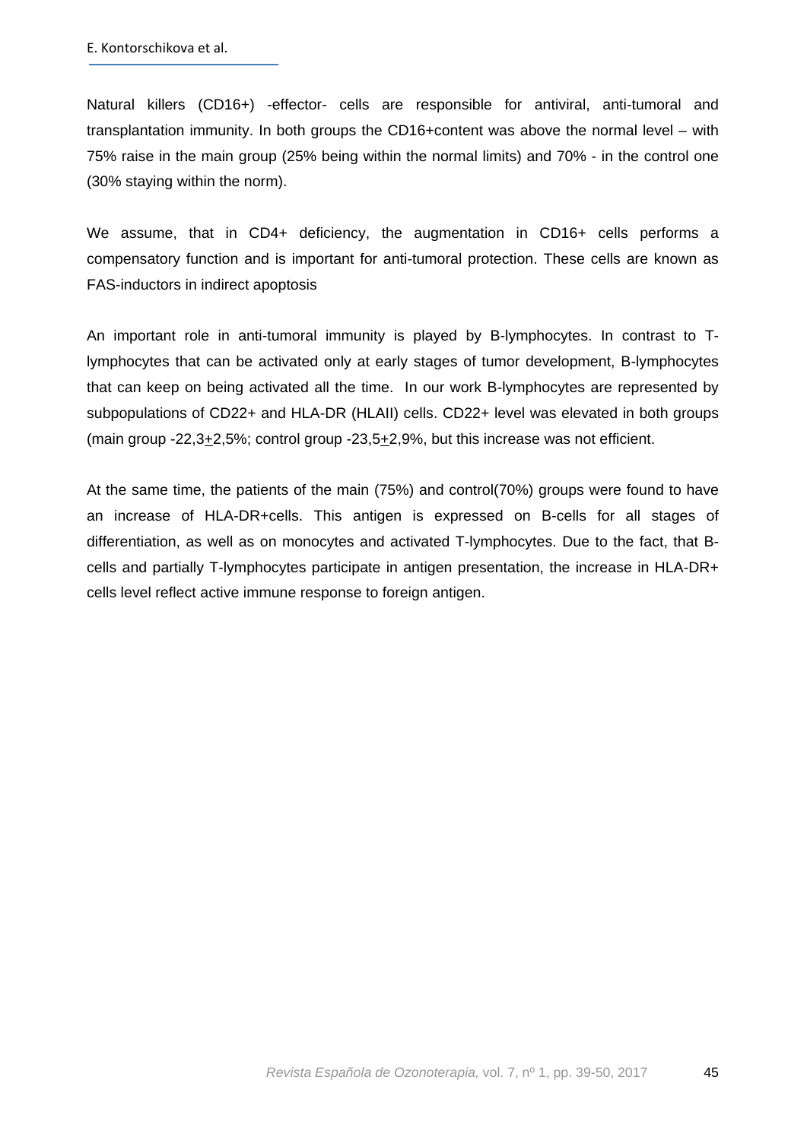Natural killers (CD16+) -effector- cells are responsible for antiviral, anti-tumoral and transplantation immunity. In both groups the CD16+content was above the normal level – with 75% raise in the main group (25% being within the normal limits) and 70% - in the control one (30% staying within the norm).

We assume, that in CD4+ deficiency, the augmentation in CD16+ cells performs a compensatory function and is important for anti-tumoral protection. These cells are known as FAS-inductors in indirect apoptosis

An important role in anti-tumoral immunity is played by B-lymphocytes. In contrast to Tlymphocytes that can be activated only at early stages of tumor development, B-lymphocytes that can keep on being activated all the time. In our work B-lymphocytes are represented by subpopulations of CD22+ and HLA-DR (HLAII) cells. CD22+ level was elevated in both groups (main group -22,3+2,5%; control group -23,5+2,9%, but this increase was not efficient.

At the same time, the patients of the main (75%) and control(70%) groups were found to have an increase of HLA-DR+cells. This antigen is expressed on B-cells for all stages of differentiation, as well as on monocytes and activated T-lymphocytes. Due to the fact, that Bcells and partially T-lymphocytes participate in antigen presentation, the increase in HLA-DR+ cells level reflect active immune response to foreign antigen.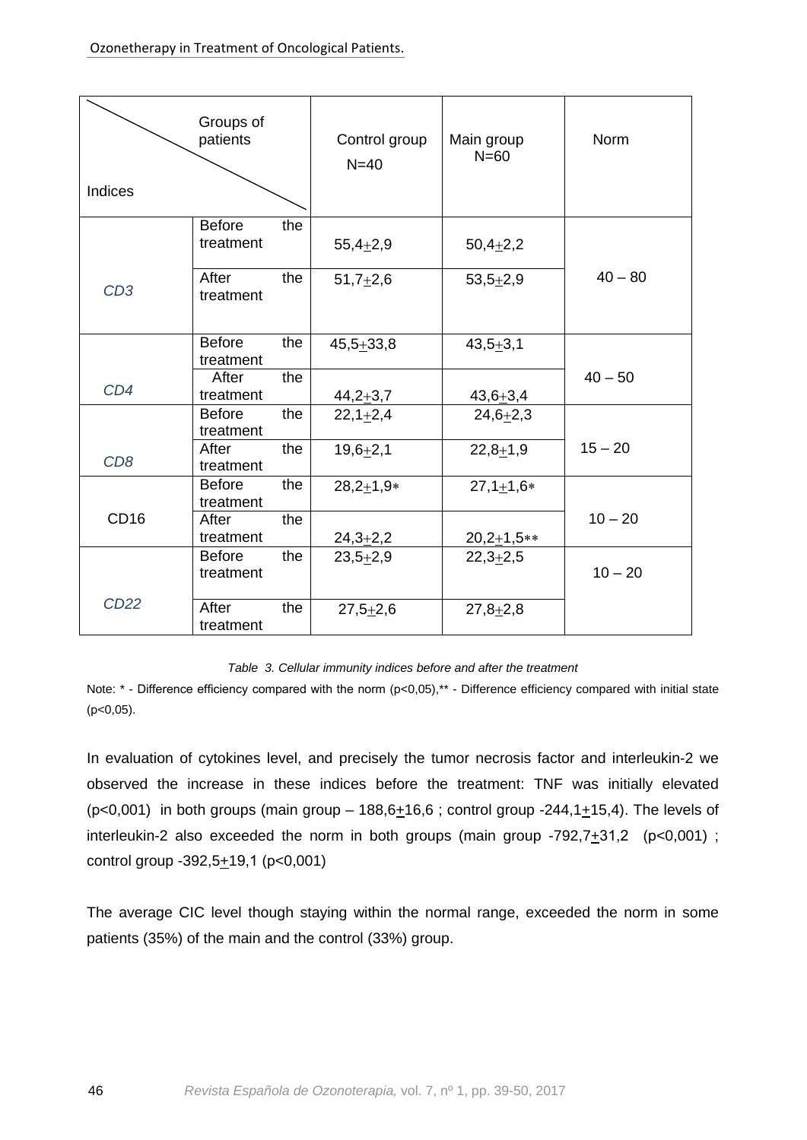| Indices          | Groups of<br>patients             | Control group<br>$N=40$ | Main group<br>$N=60$ | Norm      |
|------------------|-----------------------------------|-------------------------|----------------------|-----------|
|                  | <b>Before</b><br>the<br>treatment | $55,4+2,9$              | $50,4+2,2$           |           |
| CD <sub>3</sub>  | After<br>the<br>treatment         | $51,7+2,6$              | $53,5+2,9$           | $40 - 80$ |
|                  | <b>Before</b><br>the<br>treatment | $45,5+33,8$             | $43,5 + 3,1$         |           |
| CD4              | the<br>After<br>treatment         | $44,2+3,7$              | $43,6+3,4$           | $40 - 50$ |
|                  | <b>Before</b><br>the<br>treatment | $22,1+2,4$              | $24,6 + 2,3$         |           |
| CD <sub>8</sub>  | After<br>the<br>treatment         | $19,6 + 2,1$            | $22,8+1,9$           | $15 - 20$ |
|                  | <b>Before</b><br>the<br>treatment | $28,2+1,9*$             | $27,1+1,6*$          |           |
| CD <sub>16</sub> | After<br>the<br>treatment         | $24,3+2,2$              | $20,2+1,5**$         | $10 - 20$ |
|                  | <b>Before</b><br>the<br>treatment | $23,5+2,9$              | $22,3+2,5$           | $10 - 20$ |
| <b>CD22</b>      | After<br>the<br>treatment         | $27,5+2,6$              | $27,8+2,8$           |           |

#### *Table 3. Cellular immunity indices before and after the treatment*

Note: \* - Difference efficiency compared with the norm (p<0,05),\*\* - Difference efficiency compared with initial state  $(p<0,05)$ .

In evaluation of cytokines level, and precisely the tumor necrosis factor and interleukin-2 we observed the increase in these indices before the treatment: TNF was initially elevated (p<0,001) in both groups (main group - 188,6 $\pm$ 16,6; control group -244,1 $\pm$ 15,4). The levels of interleukin-2 also exceeded the norm in both groups (main group  $-792,7+31,2$  (p<0,001); control group  $-392,5+19,1$  (p<0,001)

The average CIC level though staying within the normal range, exceeded the norm in some patients (35%) of the main and the control (33%) group.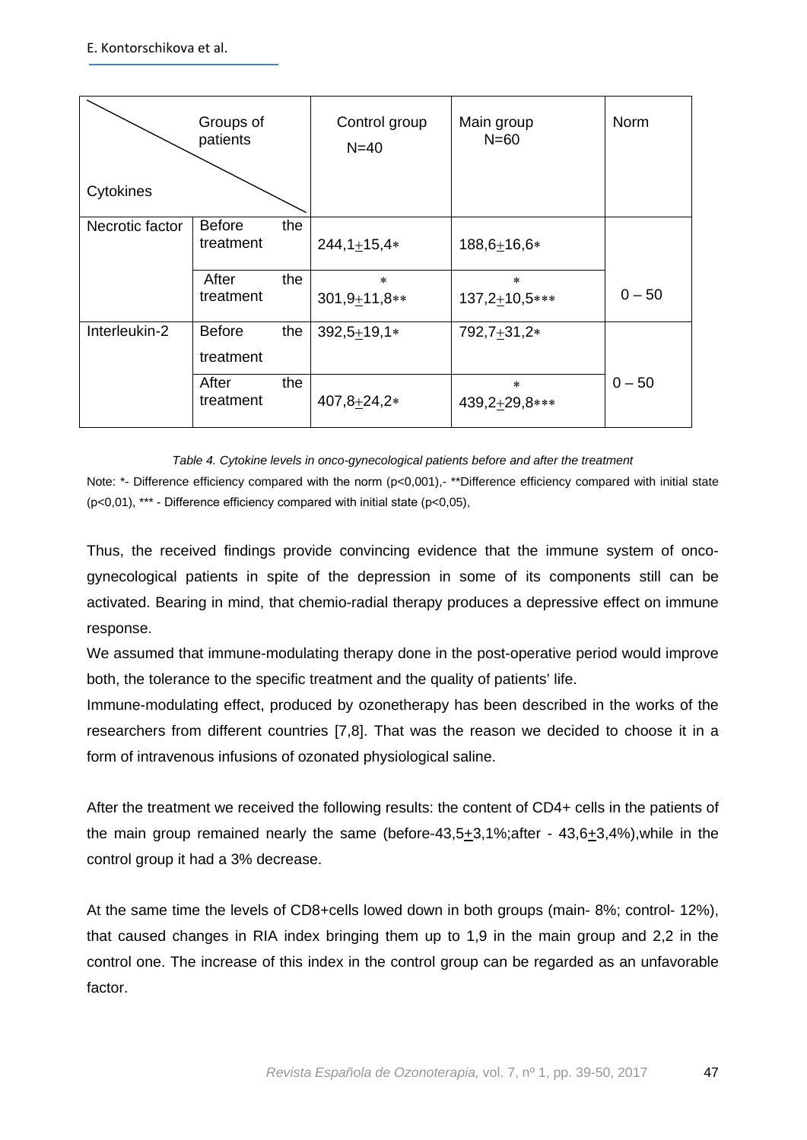| Cytokines       | Groups of<br>patients             | Control group<br>$N=40$  | Main group<br>$N=60$    | <b>Norm</b> |
|-----------------|-----------------------------------|--------------------------|-------------------------|-------------|
| Necrotic factor | <b>Before</b><br>the<br>treatment | $244,1+15,4*$            | $188,6+16,6*$           |             |
|                 | After<br>the<br>treatment         | $\ast$<br>$301,9+11,8**$ | $\ast$<br>137,2+10,5*** | $0 - 50$    |
| Interleukin-2   | <b>Before</b><br>the<br>treatment | $392,5 + 19,1*$          | 792,7+31,2*             |             |
|                 | After<br>the<br>treatment         | 407,8+24,2*              | $\ast$<br>439,2+29,8*** | $0 - 50$    |

*Table 4. Cytokine levels in onco-gynecological patients before and after the treatment*

Note: \*- Difference efficiency compared with the norm (p<0,001),- \*\*Difference efficiency compared with initial state (р<0,01), \*\*\* - Difference efficiency compared with initial state (р<0,05),

Thus, the received findings provide convincing evidence that the immune system of oncogynecological patients in spite of the depression in some of its components still can be activated. Bearing in mind, that chemio-radial therapy produces a depressive effect on immune response.

We assumed that immune-modulating therapy done in the post-operative period would improve both, the tolerance to the specific treatment and the quality of patients' life.

Immune-modulating effect, produced by ozonetherapy has been described in the works of the researchers from different countries [7,8]. That was the reason we decided to choose it in a form of intravenous infusions of ozonated physiological saline.

After the treatment we received the following results: the content of CD4+ cells in the patients of the main group remained nearly the same (before-43,5 $\pm$ 3,1%;after - 43,6 $\pm$ 3,4%),while in the control group it had a 3% decrease.

At the same time the levels of CD8+cells lowed down in both groups (main- 8%; control- 12%), that caused changes in RIA index bringing them up to 1,9 in the main group and 2,2 in the control one. The increase of this index in the control group can be regarded as an unfavorable factor.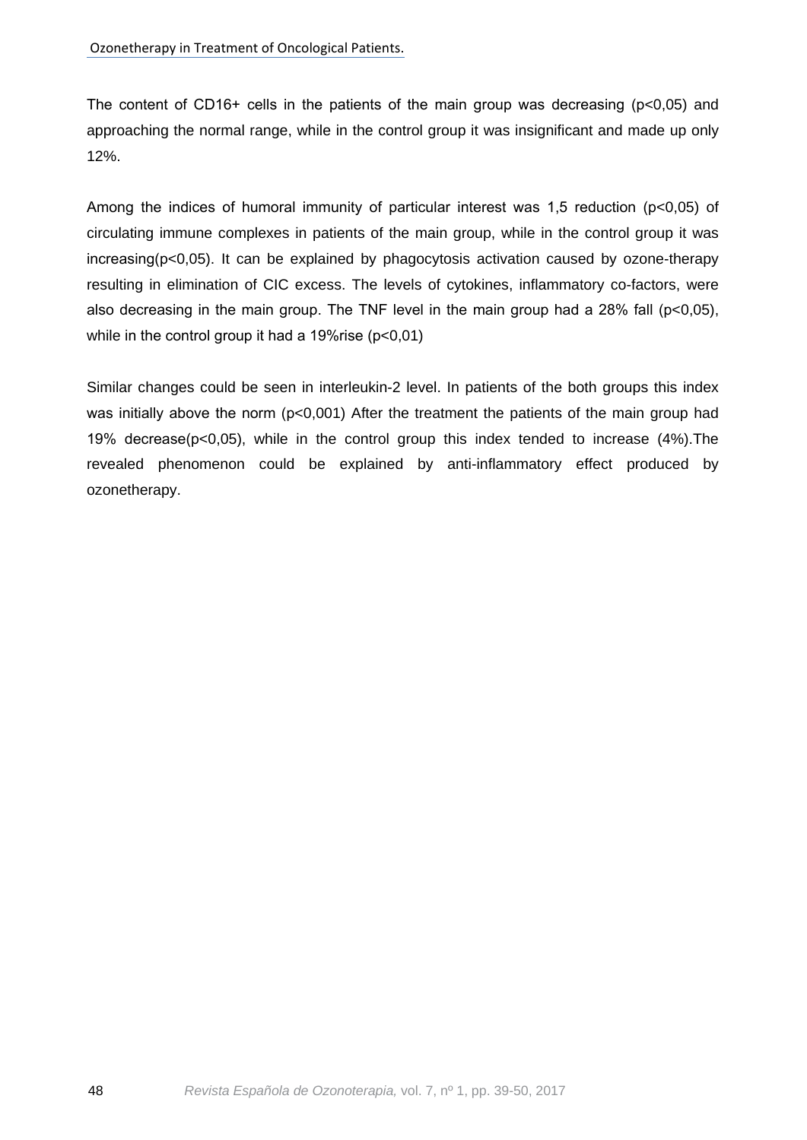The content of CD16+ cells in the patients of the main group was decreasing (p<0,05) and approaching the normal range, while in the control group it was insignificant and made up only 12%.

Among the indices of humoral immunity of particular interest was 1,5 reduction (р<0,05) of circulating immune complexes in patients of the main group, while in the control group it was increasing(р<0,05). It can be explained by phagocytosis activation caused by ozone-therapy resulting in elimination of CIC excess. The levels of cytokines, inflammatory co-factors, were also decreasing in the main group. The TNF level in the main group had a 28% fall ( $p<0,05$ ), while in the control group it had a 19% rise (p<0,01)

Similar changes could be seen in interleukin-2 level. In patients of the both groups this index was initially above the norm (p<0,001) After the treatment the patients of the main group had 19% decrease(р<0,05), while in the control group this index tended to increase (4%).The revealed phenomenon could be explained by anti-inflammatory effect produced by ozonetherapy.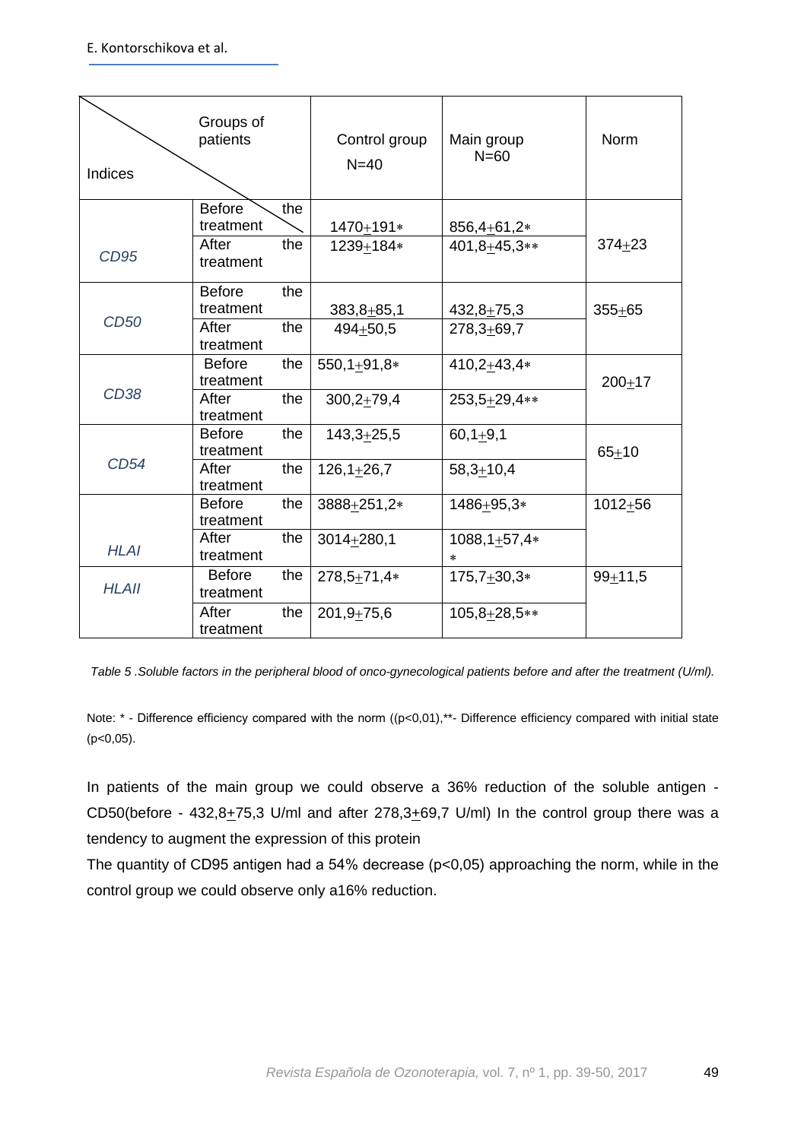| <b>Indices</b> | Groups of<br>patients                            |            | Control group<br>$N=40$          | Main group<br>$N = 60$                   | <b>Norm</b> |
|----------------|--------------------------------------------------|------------|----------------------------------|------------------------------------------|-------------|
| CD95           | <b>Before</b><br>treatment<br>After<br>treatment | the<br>the | 1470+191*<br>1239+184*           | 856,4+61,2*<br>401,8+45,3**              | $374 + 23$  |
| <b>CD50</b>    | <b>Before</b><br>treatment<br>After<br>treatment | the<br>the | $383,8 + 85,1$<br>$494 + 50,5$   | $432,8 + 75,3$<br>$278,3 + 69,7$         | $355 + 65$  |
| <b>CD38</b>    | <b>Before</b><br>treatment<br>After<br>treatment | the<br>the | $550, 1+91, 8*$<br>$300,2+79,4$  | $410,2+43,4*$<br>253,5+29,4**            | $200 + 17$  |
| <b>CD54</b>    | <b>Before</b><br>treatment<br>After<br>treatment | the<br>the | $143,3+25,5$<br>$126, 1 + 26, 7$ | $60,1+9,1$<br>$58,3+10,4$                | $65 + 10$   |
| <b>HLAI</b>    | <b>Before</b><br>treatment<br>After<br>treatment | the<br>the | 3888+251,2*<br>$3014 + 280,1$    | 1486+95,3*<br>$1088, 1+57, 4*$<br>$\ast$ | $1012 + 56$ |
| <b>HLAII</b>   | <b>Before</b><br>treatment<br>After<br>treatment | the<br>the | $278,5+71,4*$<br>$201,9+75,6$    | $175,7+30,3*$<br>$105,8+28,5**$          | $99 + 11,5$ |

*Table 5 .Soluble factors in the peripheral blood of onco-gynecological patients before and after the treatment (U/ml).*

Note: \* - Difference efficiency compared with the norm ((p<0,01),\*\*- Difference efficiency compared with initial state  $(p<0,05)$ .

In patients of the main group we could observe a 36% reduction of the soluble antigen - CD50(before - 432,8 $\pm$ 75,3 U/ml and after 278,3 $\pm$ 69,7 U/ml) In the control group there was a tendency to augment the expression of this protein

The quantity of CD95 antigen had a 54% decrease (p<0,05) approaching the norm, while in the control group we could observe only a16% reduction.